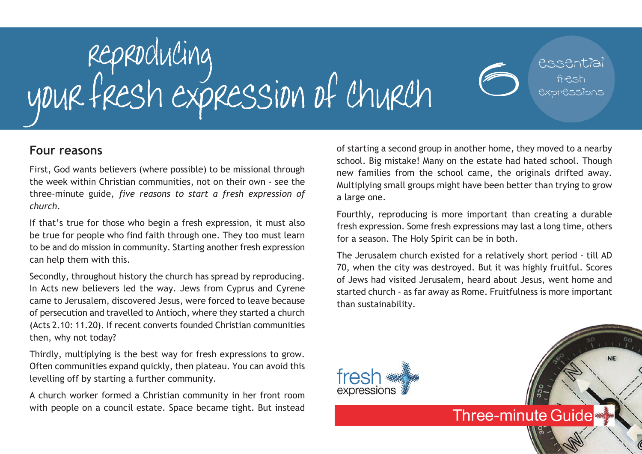

#### **Four reasons**

First, God wants believers (where possible) to be missional through the week within Christian communities, not on their own - see the three-minute guide, *five reasons to start a fresh expression of church*.

If that's true for those who begin a fresh expression, it must also be true for people who find faith through one. They too must learn to be and do mission in community. Starting another fresh expression can help them with this.

Secondly, throughout history the church has spread by reproducing. In Acts new believers led the way. Jews from Cyprus and Cyrene came to Jerusalem, discovered Jesus, were forced to leave because of persecution and travelled to Antioch, where they started a church (Acts 2.10: 11.20). If recent converts founded Christian communities then, why not today?

Thirdly, multiplying is the best way for fresh expressions to grow. Often communities expand quickly, then plateau. You can avoid this levelling off by starting a further community.

A church worker formed a Christian community in her front room with people on a council estate. Space became tight. But instead of starting a second group in another home, they moved to a nearby school. Big mistake! Many on the estate had hated school. Though new families from the school came, the originals drifted away. Multiplying small groups might have been better than trying to grow a large one.

Fourthly, reproducing is more important than creating a durable fresh expression. Some fresh expressions may last a long time, others for a season. The Holy Spirit can be in both.

The Jerusalem church existed for a relatively short period - till AD 70, when the city was destroyed. But it was highly fruitful. Scores of Jews had visited Jerusalem, heard about Jesus, went home and started church - as far away as Rome. Fruitfulness is more important than sustainability.

**Three-minute Guide**